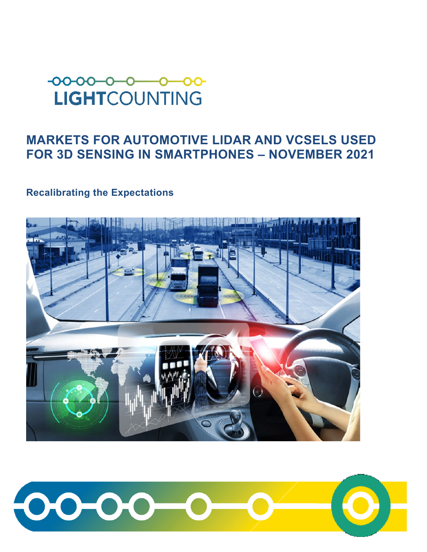# $-00-00-0-$ **LIGHTCOUNTING**

## **MARKETS FOR AUTOMOTIVE LIDAR AND VCSELS USED FOR 3D SENSING IN SMARTPHONES – NOVEMBER 2021**

### **Recalibrating the Expectations**



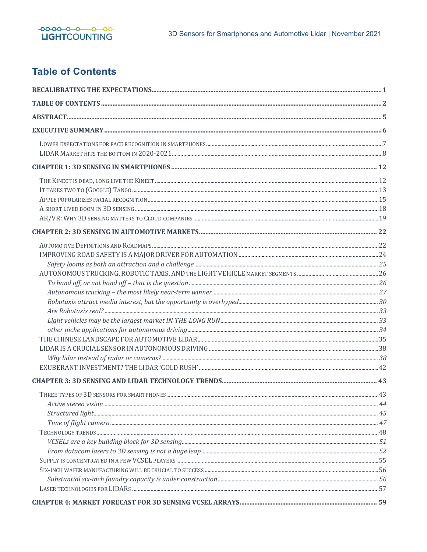

## **Table of Contents**

<span id="page-1-0"></span>

| THREE TYPES OF 3D SENSORS FOR SMARTPHONES | 43 |
|-------------------------------------------|----|
|                                           |    |
|                                           |    |
|                                           |    |
|                                           |    |
|                                           |    |
|                                           |    |
|                                           |    |
|                                           |    |
|                                           |    |
|                                           |    |
|                                           |    |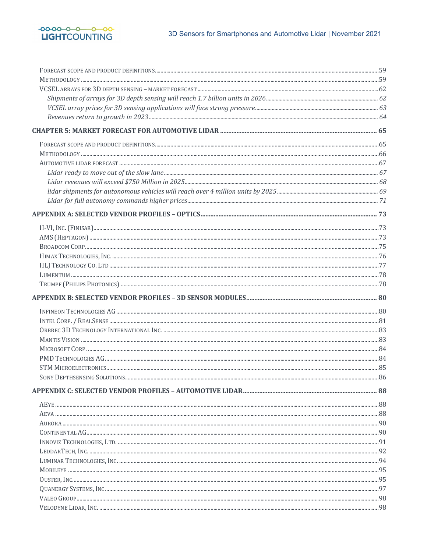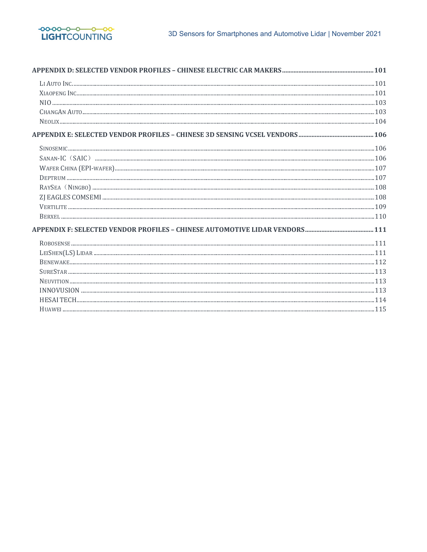

| $\textsc{SINOSEMIC} \label{SINOSEMIC}$ |  |
|----------------------------------------|--|
|                                        |  |
|                                        |  |
|                                        |  |
|                                        |  |
|                                        |  |
|                                        |  |
|                                        |  |
|                                        |  |
|                                        |  |
|                                        |  |
|                                        |  |
|                                        |  |
|                                        |  |
|                                        |  |
|                                        |  |
|                                        |  |
|                                        |  |